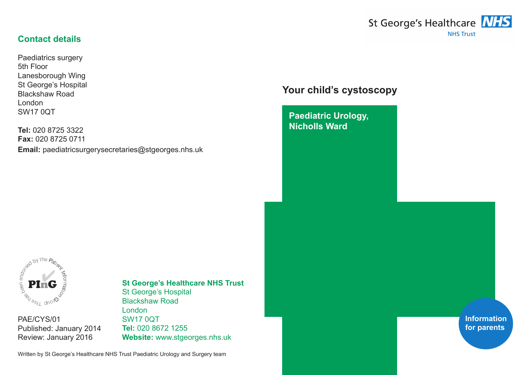#### **Contact details**

Paediatrics surgery 5th Floor Lanesborough Wing St George's Hospital Blackshaw Road London SW17 0QT

**Tel:** 020 8725 3322 **Fax:** 020 8725 0711 **Email:** paediatricsurgerysecretaries@stgeorges.nhs.uk



# **Your child's cystoscopy**

**Paediatric Urology, Nicholls Ward**



PAE/CYS/01 Published: January 2014 Review: January 2016

#### **St George's Healthcare NHS Trust** St George's Hospital Blackshaw Road London SW17 0QT **Tel:** 020 8672 1255

**Website:** www.stgeorges.nhs.uk

Written by St George's Healthcare NHS Trust Paediatric Urology and Surgery team

**Information for parents**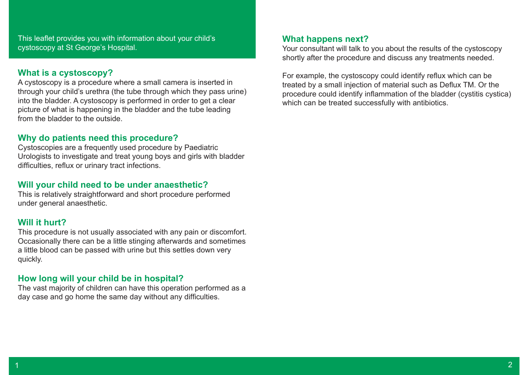This leaflet provides you with information about your child's cystoscopy at St George's Hospital.

#### **What is a cystoscopy?**

A cystoscopy is a procedure where a small camera is inserted in through your child's urethra (the tube through which they pass urine) into the bladder. A cystoscopy is performed in order to get a clear picture of what is happening in the bladder and the tube leading from the bladder to the outside.

### **Why do patients need this procedure?**

Cystoscopies are a frequently used procedure by Paediatric Urologists to investigate and treat young boys and girls with bladder difficulties, reflux or urinary tract infections.

### **Will your child need to be under anaesthetic?**

This is relatively straightforward and short procedure performed under general anaesthetic.

# **Will it hurt?**

This procedure is not usually associated with any pain or discomfort. Occasionally there can be a little stinging afterwards and sometimes a little blood can be passed with urine but this settles down very quickly.

# **How long will your child be in hospital?**

The vast majority of children can have this operation performed as a day case and go home the same day without any difficulties.

#### **What happens next?**

Your consultant will talk to you about the results of the cystoscopy shortly after the procedure and discuss any treatments needed.

For example, the cystoscopy could identify reflux which can be treated by a small injection of material such as Deflux TM. Or the procedure could identify inflammation of the bladder (cystitis cystica) which can be treated successfully with antibiotics.